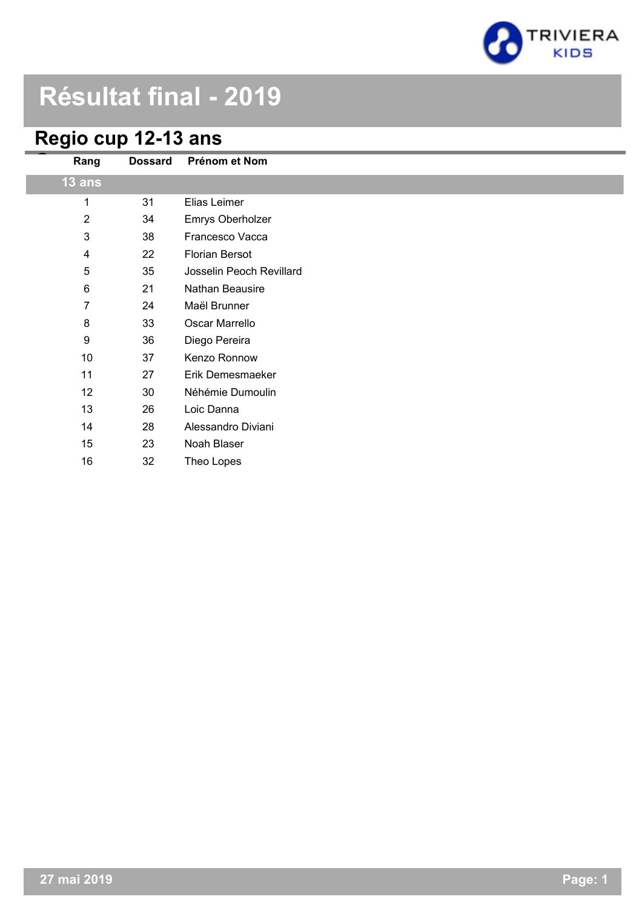

# **Résultat final - 2019**

# **Regio cup 12-13 ans**

I

| Rang                      | <b>Dossard</b> | Prénom et Nom            |
|---------------------------|----------------|--------------------------|
| 13 ans                    |                |                          |
| 1                         | 31             | Elias Leimer             |
| $\overline{2}$            | 34             | Emrys Oberholzer         |
| $\ensuremath{\mathsf{3}}$ | 38             | Francesco Vacca          |
| $\overline{\mathbf{4}}$   | 22             | <b>Florian Bersot</b>    |
| 5                         | 35             | Josselin Peoch Revillard |
| $\,6\,$                   | 21             | Nathan Beausire          |
| $\overline{7}$            | 24             | Maël Brunner             |
| $\bf 8$                   | 33             | Oscar Marrello           |
| $\boldsymbol{9}$          | 36             | Diego Pereira            |
| 10                        | 37             | Kenzo Ronnow             |
| 11                        | 27             | Erik Demesmaeker         |
| 12                        | 30             | Néhémie Dumoulin         |
| 13                        | 26             | Loic Danna               |
| 14                        | 28             | Alessandro Diviani       |
| 15                        | 23             | Noah Blaser              |
| 16                        | 32             | Theo Lopes               |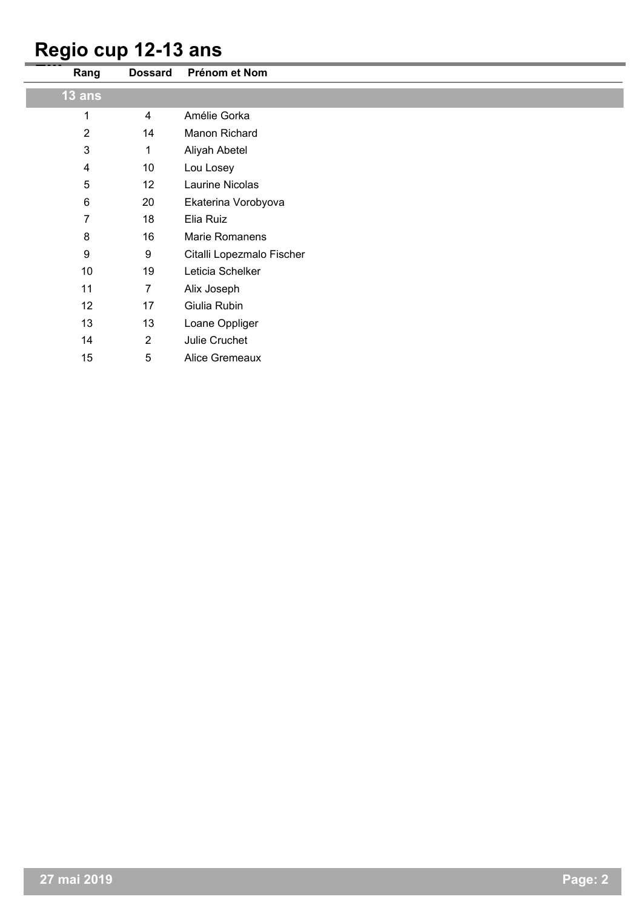#### **Regio cup 12-13 ans**

| Rang                    | <b>Dossard</b>   | Prénom et Nom             |
|-------------------------|------------------|---------------------------|
| 13 ans                  |                  |                           |
| 1                       | 4                | Amélie Gorka              |
| $\overline{2}$          | 14               | Manon Richard             |
| $\mathsf 3$             | 1                | Aliyah Abetel             |
| $\overline{\mathbf{4}}$ | 10               | Lou Losey                 |
| 5                       | 12               | Laurine Nicolas           |
| $\,6$                   | 20               | Ekaterina Vorobyova       |
| $\overline{7}$          | 18               | Elia Ruiz                 |
| $\bf 8$                 | 16               | Marie Romanens            |
| $\boldsymbol{9}$        | $\boldsymbol{9}$ | Citalli Lopezmalo Fischer |
| 10                      | 19               | Leticia Schelker          |
| 11                      | $\overline{7}$   | Alix Joseph               |
| 12                      | 17               | Giulia Rubin              |
| 13                      | 13               | Loane Oppliger            |
| 14                      | $\overline{2}$   | Julie Cruchet             |
| 15                      | 5                | Alice Gremeaux            |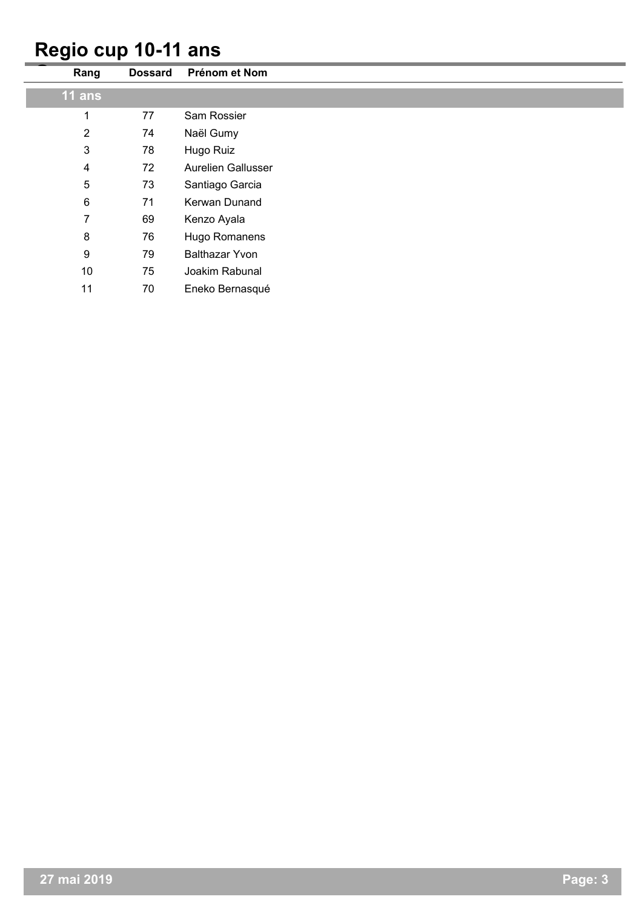#### **Regio cup 10-11 ans**

| Rang                    | <b>Dossard</b> | Prénom et Nom             |
|-------------------------|----------------|---------------------------|
| $11$ ans                |                |                           |
| 1                       | 77             | Sam Rossier               |
| $\overline{2}$          | 74             | Naël Gumy                 |
| $\mathbf{3}$            | 78             | Hugo Ruiz                 |
| $\overline{\mathbf{4}}$ | 72             | <b>Aurelien Gallusser</b> |
| 5                       | 73             | Santiago Garcia           |
| $\,6$                   | 71             | Kerwan Dunand             |
| $\overline{7}$          | 69             | Kenzo Ayala               |
| $\bf 8$                 | 76             | Hugo Romanens             |
| $\boldsymbol{9}$        | 79             | <b>Balthazar Yvon</b>     |
| 10                      | 75             | Joakim Rabunal            |
| 11                      | 70             | Eneko Bernasqué           |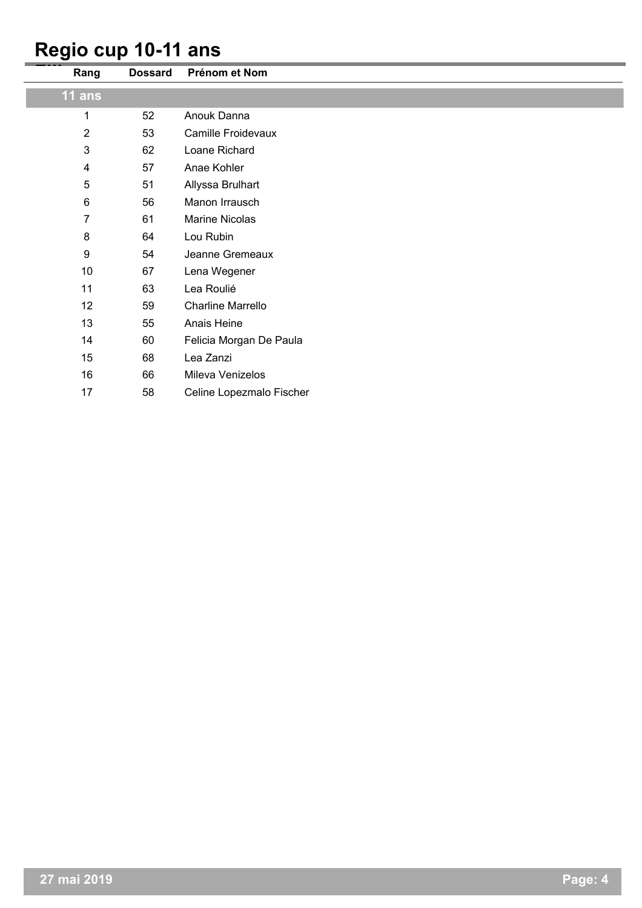#### **Regio cup 10-11 ans**

| Rang             | <b>Dossard</b> | Prénom et Nom            |
|------------------|----------------|--------------------------|
| 11 ans           |                |                          |
| 1                | 52             | Anouk Danna              |
| $\overline{2}$   | 53             | Camille Froidevaux       |
| $\mathbf{3}$     | 62             | Loane Richard            |
| 4                | 57             | Anae Kohler              |
| 5                | 51             | Allyssa Brulhart         |
| 6                | 56             | Manon Irrausch           |
| 7                | 61             | <b>Marine Nicolas</b>    |
| 8                | 64             | Lou Rubin                |
| $\boldsymbol{9}$ | 54             | Jeanne Gremeaux          |
| 10               | 67             | Lena Wegener             |
| 11               | 63             | Lea Roulié               |
| 12               | 59             | <b>Charline Marrello</b> |
| 13               | 55             | Anais Heine              |
| 14               | 60             | Felicia Morgan De Paula  |
| 15               | 68             | Lea Zanzi                |
| 16               | 66             | Mileva Venizelos         |
| 17               | 58             | Celine Lopezmalo Fischer |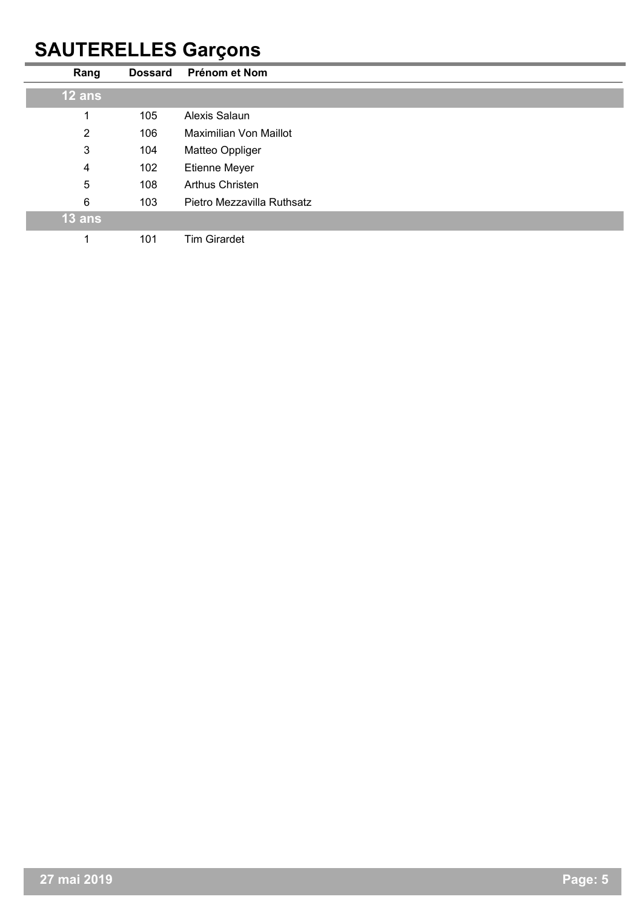### **SAUTERELLES Garçons**

| Rang           | <b>Dossard</b> | Prénom et Nom              |
|----------------|----------------|----------------------------|
| 12 ans         |                |                            |
|                | 105            | Alexis Salaun              |
| $\overline{2}$ | 106            | Maximilian Von Maillot     |
| 3              | 104            | Matteo Oppliger            |
| 4              | 102            | Etienne Meyer              |
| 5              | 108            | <b>Arthus Christen</b>     |
| 6              | 103            | Pietro Mezzavilla Ruthsatz |
| 13 ans         |                |                            |
|                | 101            | <b>Tim Girardet</b>        |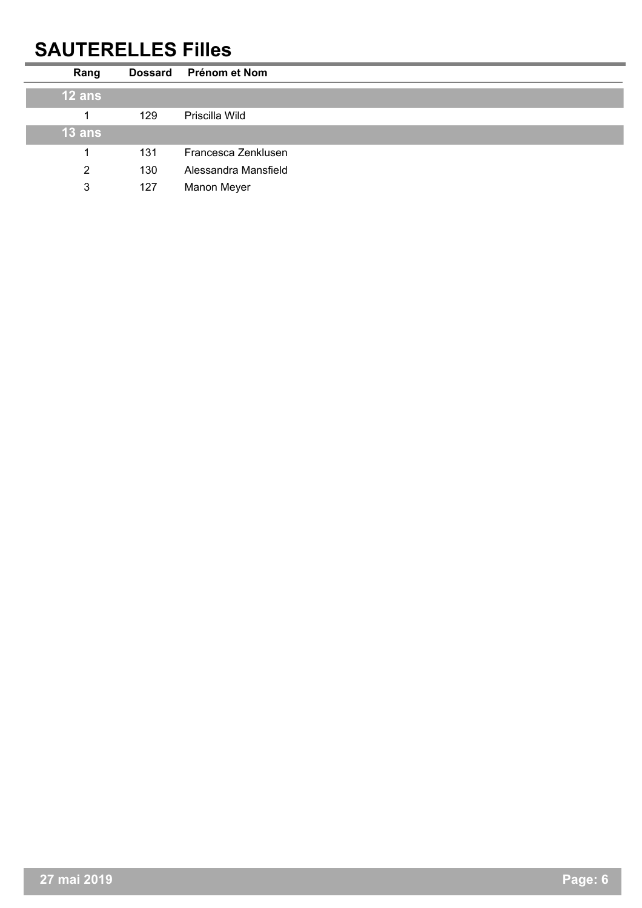### **SAUTERELLES Filles**

| Rang     | <b>Dossard</b> | Prénom et Nom        |
|----------|----------------|----------------------|
| $12$ ans |                |                      |
|          | 129            | Priscilla Wild       |
| $13$ ans |                |                      |
|          | 131            | Francesca Zenklusen  |
| 2        | 130            | Alessandra Mansfield |
| 3        | 127            | Manon Meyer          |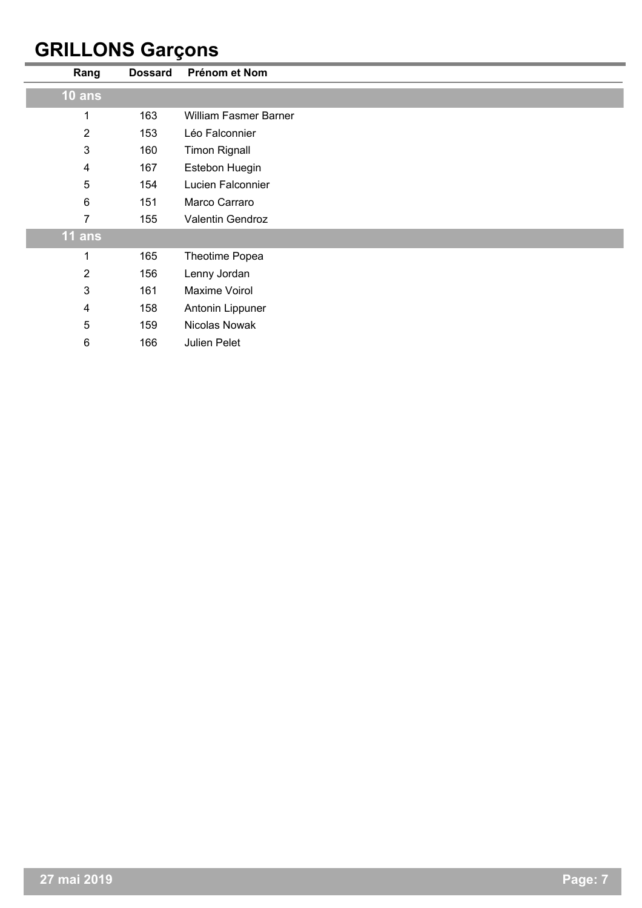### **GRILLONS Garçons**

| Rang           | <b>Dossard</b> | Prénom et Nom                |
|----------------|----------------|------------------------------|
| $10$ ans       |                |                              |
| 1              | 163            | <b>William Fasmer Barner</b> |
| $\overline{2}$ | 153            | Léo Falconnier               |
| 3              | 160            | <b>Timon Rignall</b>         |
| 4              | 167            | Estebon Huegin               |
| 5              | 154            | Lucien Falconnier            |
| $6\phantom{1}$ | 151            | Marco Carraro                |
| 7              | 155            | Valentin Gendroz             |
| 11 ans         |                |                              |
| 1              | 165            | Theotime Popea               |
| $\overline{2}$ | 156            | Lenny Jordan                 |
| 3              | 161            | Maxime Voirol                |
| 4              | 158            | Antonin Lippuner             |
| 5              | 159            | Nicolas Nowak                |
| $\,6$          | 166            | Julien Pelet                 |
|                |                |                              |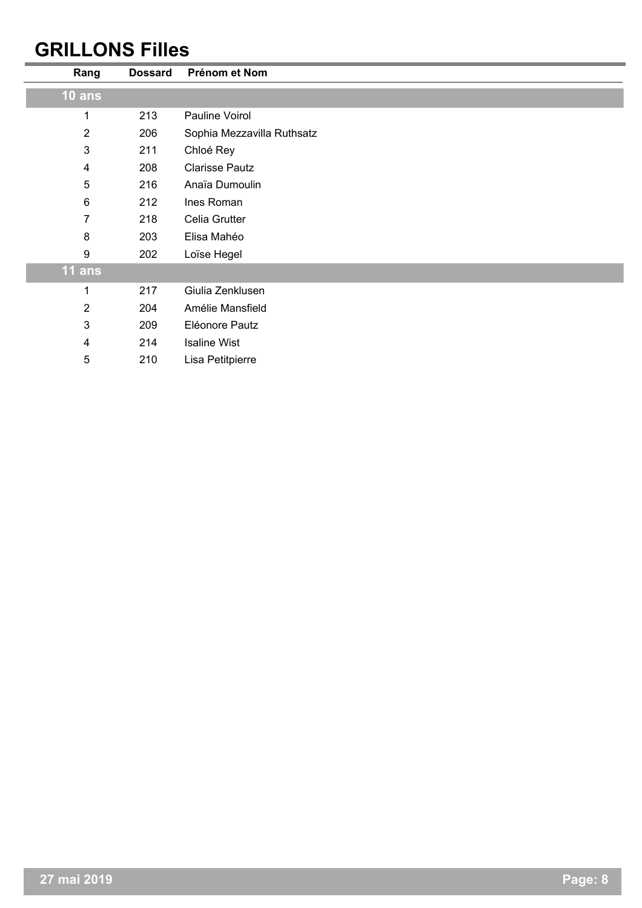### **GRILLONS Filles**

| <b>Dossard</b> | Prénom et Nom              |
|----------------|----------------------------|
|                |                            |
| 213            | Pauline Voirol             |
| 206            | Sophia Mezzavilla Ruthsatz |
| 211            | Chloé Rey                  |
| 208            | <b>Clarisse Pautz</b>      |
| 216            | Anaïa Dumoulin             |
| 212            | Ines Roman                 |
| 218            | Celia Grutter              |
| 203            | Elisa Mahéo                |
| 202            | Loïse Hegel                |
|                |                            |
| 217            | Giulia Zenklusen           |
| 204            | Amélie Mansfield           |
| 209            | Eléonore Pautz             |
| 214            | <b>Isaline Wist</b>        |
| 210            | Lisa Petitpierre           |
|                |                            |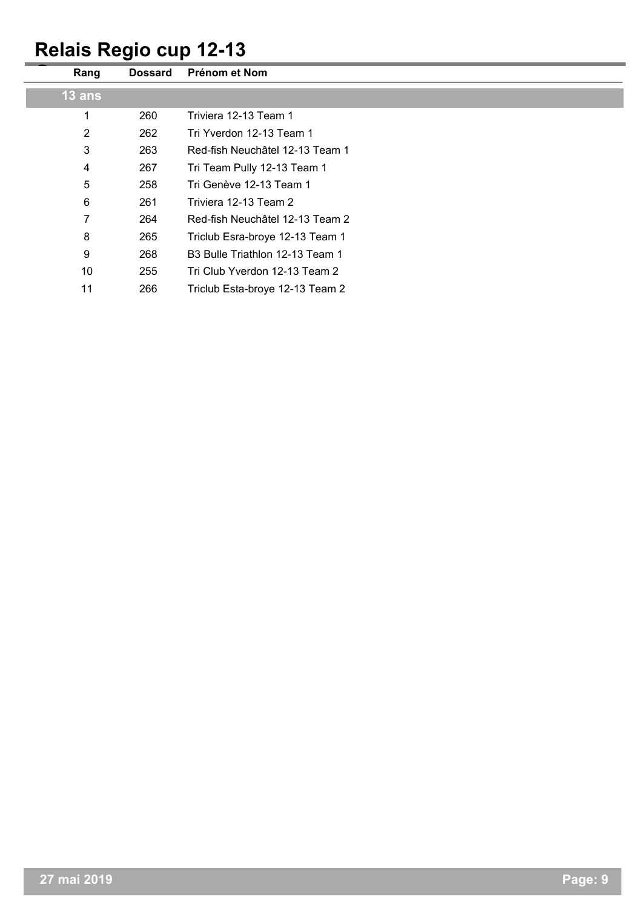# **Relais Regio cup 12-13**

| Rang           | <b>Dossard</b> | Prénom et Nom                   |
|----------------|----------------|---------------------------------|
| $13$ ans       |                |                                 |
| 1              | 260            | Triviera 12-13 Team 1           |
| $\overline{2}$ | 262            | Tri Yverdon 12-13 Team 1        |
| 3              | 263            | Red-fish Neuchâtel 12-13 Team 1 |
| 4              | 267            | Tri Team Pully 12-13 Team 1     |
| 5              | 258            | Tri Genève 12-13 Team 1         |
| 6              | 261            | Triviera 12-13 Team 2           |
| 7              | 264            | Red-fish Neuchâtel 12-13 Team 2 |
| 8              | 265            | Triclub Esra-broye 12-13 Team 1 |
| 9              | 268            | B3 Bulle Triathlon 12-13 Team 1 |
| 10             | 255            | Tri Club Yverdon 12-13 Team 2   |
| 11             | 266            | Triclub Esta-broye 12-13 Team 2 |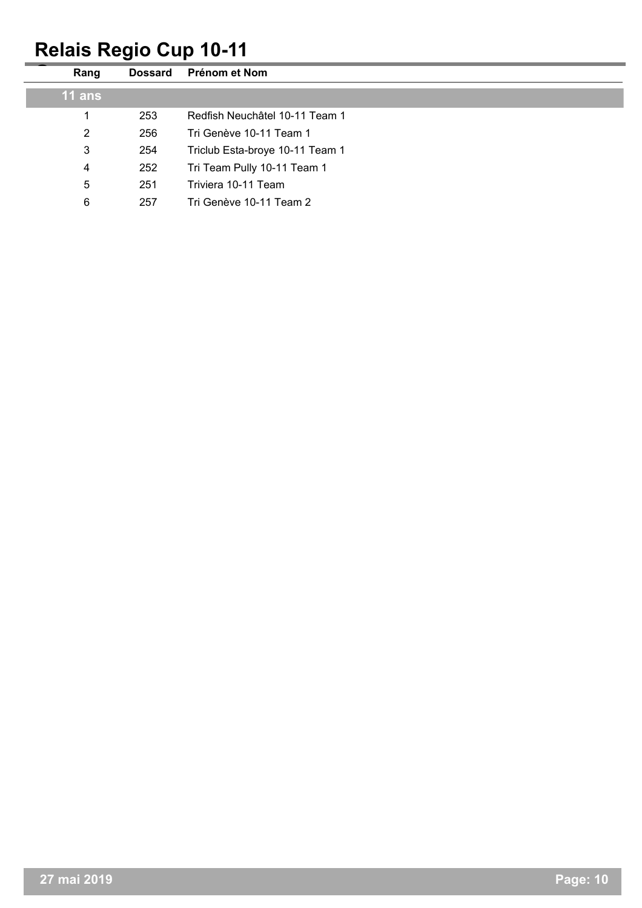# **Relais Regio Cup 10-11**

| Rang           | <b>Dossard</b> | Prénom et Nom                   |
|----------------|----------------|---------------------------------|
| $11$ ans       |                |                                 |
| 1              | 253            | Redfish Neuchâtel 10-11 Team 1  |
| $\overline{2}$ | 256            | Tri Genève 10-11 Team 1         |
| 3              | 254            | Triclub Esta-broye 10-11 Team 1 |
| 4              | 252            | Tri Team Pully 10-11 Team 1     |
| 5              | 251            | Triviera 10-11 Team             |
| 6              | 257            | Tri Genève 10-11 Team 2         |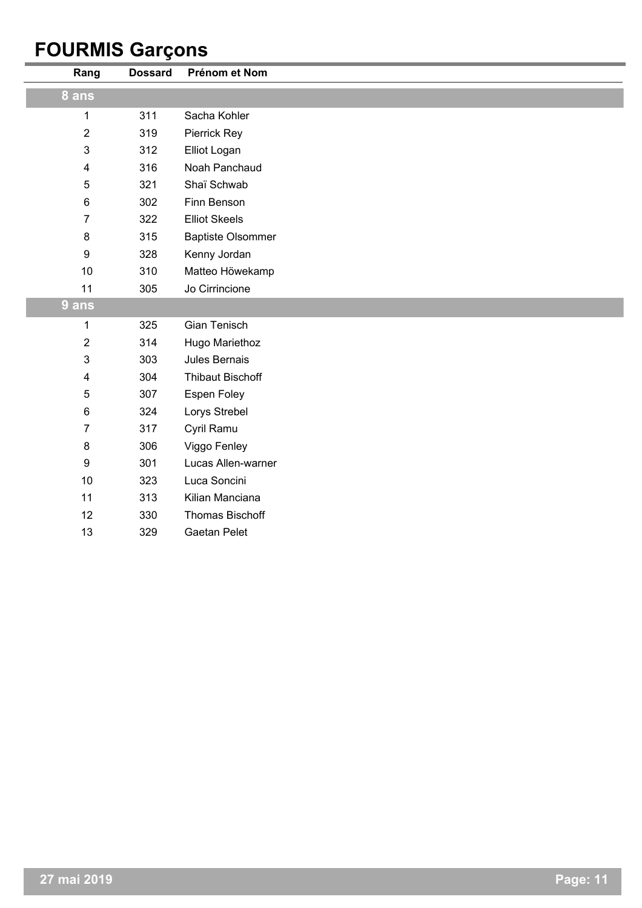### **FOURMIS Garçons**

| Rang           | <b>Dossard</b> | Prénom et Nom            |
|----------------|----------------|--------------------------|
| 8 ans          |                |                          |
| 1              | 311            | Sacha Kohler             |
| $\mathbf{2}$   | 319            | Pierrick Rey             |
| $\mathfrak{B}$ | 312            | Elliot Logan             |
| 4              | 316            | Noah Panchaud            |
| 5              | 321            | Shaï Schwab              |
| 6              | 302            | Finn Benson              |
| $\overline{7}$ | 322            | <b>Elliot Skeels</b>     |
| 8              | 315            | <b>Baptiste Olsommer</b> |
| 9              | 328            | Kenny Jordan             |
| 10             | 310            | Matteo Höwekamp          |
| 11             | 305            | Jo Cirrincione           |
| 9 ans          |                |                          |
| 1              | 325            | Gian Tenisch             |
| $\overline{2}$ | 314            | Hugo Mariethoz           |
| 3              | 303            | <b>Jules Bernais</b>     |
| 4              | 304            | <b>Thibaut Bischoff</b>  |
| 5              | 307            | Espen Foley              |
| 6              | 324            | Lorys Strebel            |
| $\overline{7}$ | 317            | Cyril Ramu               |
| 8              | 306            | Viggo Fenley             |
| 9              | 301            | Lucas Allen-warner       |
| 10             | 323            | Luca Soncini             |
| 11             | 313            | Kilian Manciana          |
| 12             | 330            | <b>Thomas Bischoff</b>   |
| 13             | 329            | <b>Gaetan Pelet</b>      |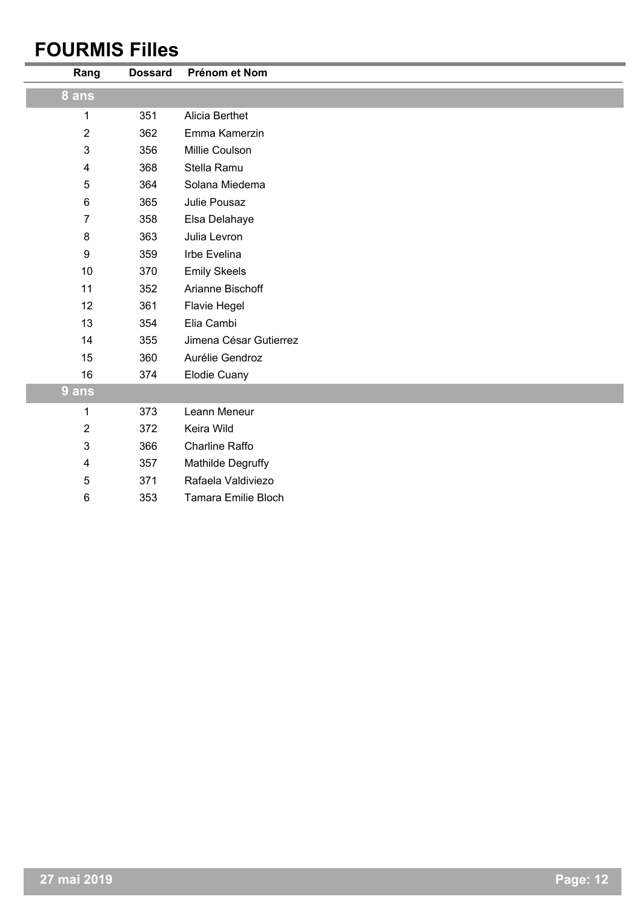### **FOURMIS Filles**

| Rang                    | <b>Dossard</b> | Prénom et Nom          |
|-------------------------|----------------|------------------------|
| 8 ans                   |                |                        |
| 1                       | 351            | Alicia Berthet         |
| $\overline{2}$          | 362            | Emma Kamerzin          |
| 3                       | 356            | Millie Coulson         |
| 4                       | 368            | Stella Ramu            |
| 5                       | 364            | Solana Miedema         |
| 6                       | 365            | Julie Pousaz           |
| $\overline{7}$          | 358            | Elsa Delahaye          |
| 8                       | 363            | Julia Levron           |
| 9                       | 359            | Irbe Evelina           |
| 10                      | 370            | <b>Emily Skeels</b>    |
| 11                      | 352            | Arianne Bischoff       |
| 12                      | 361            | Flavie Hegel           |
| 13                      | 354            | Elia Cambi             |
| 14                      | 355            | Jimena César Gutierrez |
| 15                      | 360            | Aurélie Gendroz        |
| 16                      | 374            | <b>Elodie Cuany</b>    |
| 9 ans                   |                |                        |
| 1                       | 373            | Leann Meneur           |
| $\overline{2}$          | 372            | Keira Wild             |
| 3                       | 366            | <b>Charline Raffo</b>  |
| $\overline{\mathbf{4}}$ | 357            | Mathilde Degruffy      |
| 5                       | 371            | Rafaela Valdiviezo     |
| 6                       | 353            | Tamara Emilie Bloch    |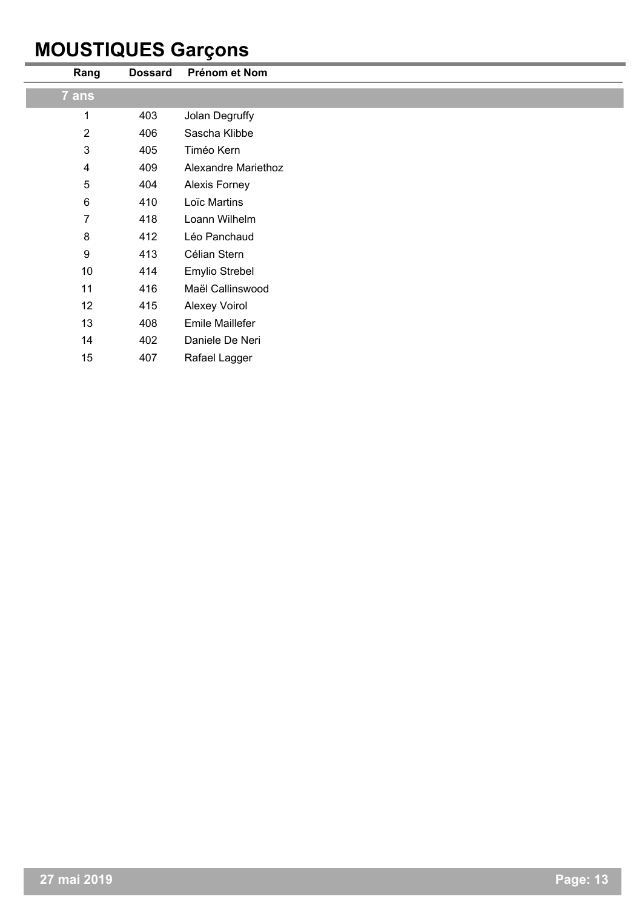### **MOUSTIQUES Garçons**

| Rang             | <b>Dossard</b> | Prénom et Nom        |
|------------------|----------------|----------------------|
| 7 ans            |                |                      |
| 1                | 403            | Jolan Degruffy       |
| $\overline{2}$   | 406            | Sascha Klibbe        |
| $\mathfrak{3}$   | 405            | Timéo Kern           |
| 4                | 409            | Alexandre Mariethoz  |
| 5                | 404            | Alexis Forney        |
| $\,6\,$          | 410            | Loïc Martins         |
| 7                | 418            | Loann Wilhelm        |
| $\bf 8$          | 412            | Léo Panchaud         |
| $\boldsymbol{9}$ | 413            | Célian Stern         |
| 10               | 414            | Emylio Strebel       |
| 11               | 416            | Maël Callinswood     |
| 12               | 415            | <b>Alexey Voirol</b> |
| 13               | 408            | Emile Maillefer      |
| 14               | 402            | Daniele De Neri      |
| 15               | 407            | Rafael Lagger        |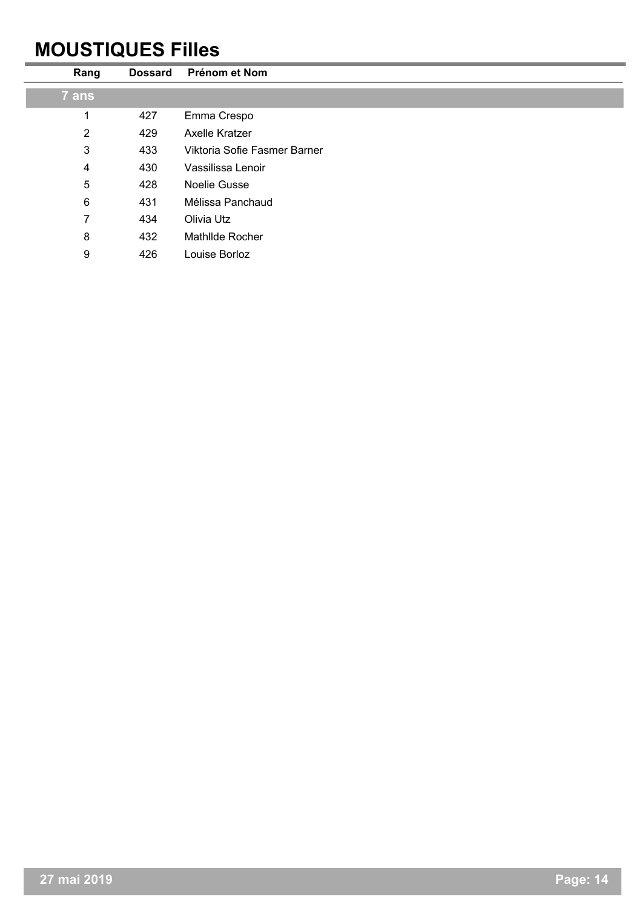### **MOUSTIQUES Filles**

| Rang           | <b>Dossard</b> | Prénom et Nom                |
|----------------|----------------|------------------------------|
| 7 ans          |                |                              |
| 1              | 427            | Emma Crespo                  |
| $\overline{2}$ | 429            | Axelle Kratzer               |
| $\mathbf{3}$   | 433            | Viktoria Sofie Fasmer Barner |
| 4              | 430            | Vassilissa Lenoir            |
| 5              | 428            | Noelie Gusse                 |
| 6              | 431            | Mélissa Panchaud             |
| 7              | 434            | Olivia Utz                   |
| 8              | 432            | Mathlide Rocher              |
| 9              | 426            | Louise Borloz                |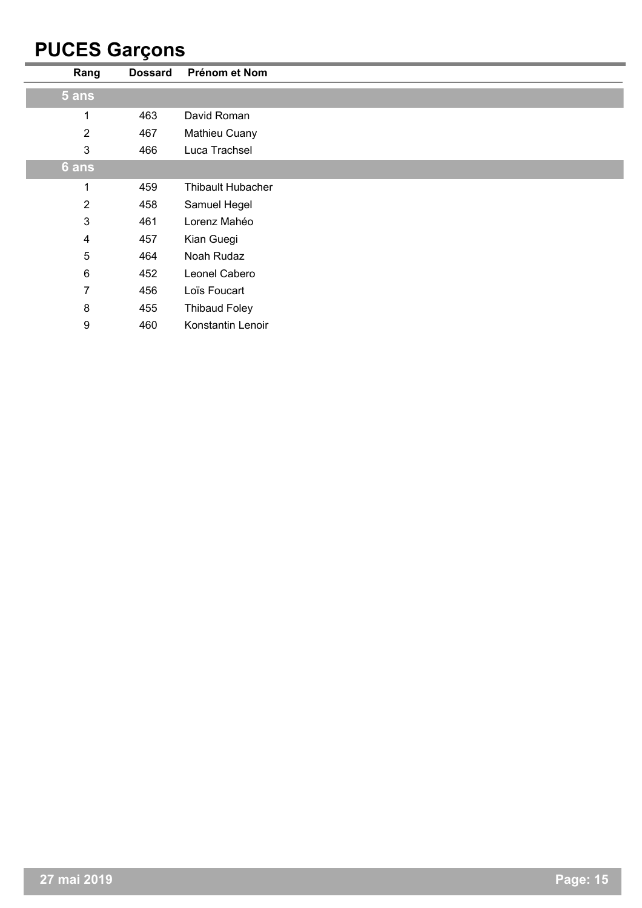### **PUCES Garçons**

| Rang           | <b>Dossard</b> | Prénom et Nom            |
|----------------|----------------|--------------------------|
| 5 ans          |                |                          |
| 1              | 463            | David Roman              |
| $\overline{2}$ | 467            | Mathieu Cuany            |
| 3              | 466            | Luca Trachsel            |
| 6 ans          |                |                          |
| 1              | 459            | <b>Thibault Hubacher</b> |
| $\overline{2}$ | 458            | Samuel Hegel             |
| 3              | 461            | Lorenz Mahéo             |
| $\overline{4}$ | 457            | Kian Guegi               |
| 5              | 464            | Noah Rudaz               |
| $\,6\,$        | 452            | Leonel Cabero            |
| 7              | 456            | Loïs Foucart             |
| 8              | 455            | <b>Thibaud Foley</b>     |
| 9              | 460            | Konstantin Lenoir        |